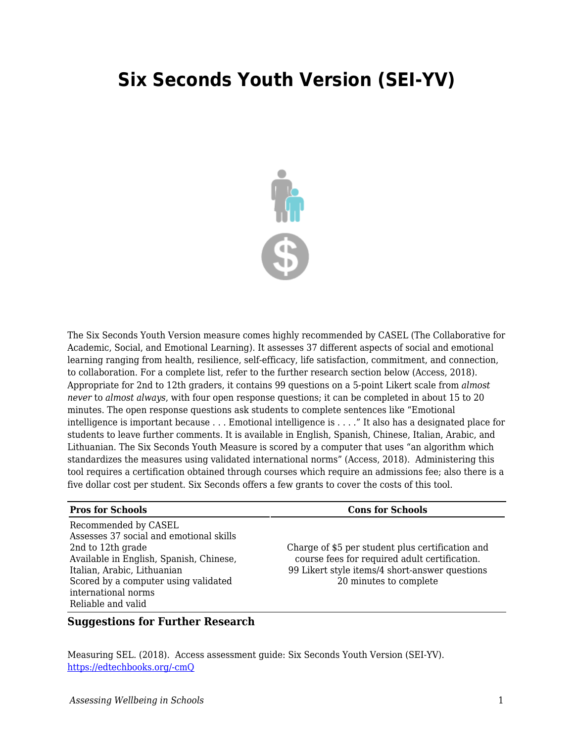## **Six Seconds Youth Version (SEI-YV)**



The Six Seconds Youth Version measure comes highly recommended by CASEL (The Collaborative for Academic, Social, and Emotional Learning). It assesses 37 different aspects of social and emotional learning ranging from health, resilience, self-efficacy, life satisfaction, commitment, and connection, to collaboration. For a complete list, refer to the further research section below (Access, 2018). Appropriate for 2nd to 12th graders, it contains 99 questions on a 5-point Likert scale from *almost never* to *almost always*, with four open response questions; it can be completed in about 15 to 20 minutes. The open response questions ask students to complete sentences like "Emotional intelligence is important because . . . Emotional intelligence is . . . ." It also has a designated place for students to leave further comments. It is available in English, Spanish, Chinese, Italian, Arabic, and Lithuanian. The Six Seconds Youth Measure is scored by a computer that uses "an algorithm which standardizes the measures using validated international norms" (Access, 2018). Administering this tool requires a certification obtained through courses which require an admissions fee; also there is a five dollar cost per student. Six Seconds offers a few grants to cover the costs of this tool.

## **Pros for Schools Cons for Schools**

Recommended by CASEL Assesses 37 social and emotional skills 2nd to 12th grade Available in English, Spanish, Chinese, Italian, Arabic, Lithuanian Scored by a computer using validated international norms Reliable and valid

Charge of \$5 per student plus certification and course fees for required adult certification. 99 Likert style items/4 short-answer questions 20 minutes to complete

## **Suggestions for Further Research**

Measuring SEL. (2018). Access assessment guide: Six Seconds Youth Version (SEI-YV). [https://edtechbooks.org/-cmQ](https://measuringsel.casel.org/assessment-guide/measure/six-seconds-youth-version-sei-yv/)